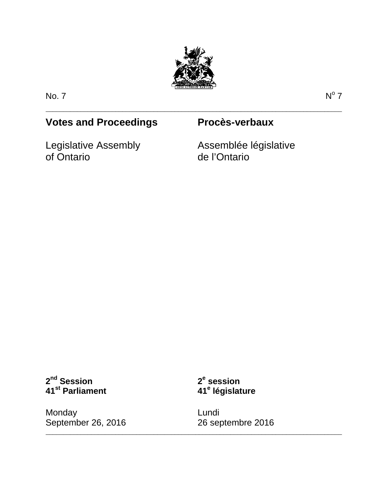

\_\_\_\_\_\_\_\_\_\_\_\_\_\_\_\_\_\_\_\_\_\_\_\_\_\_\_\_\_\_\_\_\_\_\_\_\_\_\_\_\_\_\_\_\_\_\_\_\_\_\_\_\_\_\_\_\_\_\_\_\_\_\_\_\_\_\_\_\_\_\_\_\_\_\_\_\_\_\_\_\_\_\_\_\_

No. 7  $N^{\circ}$  7

## **Votes and Proceedings Procès-verbaux**

Legislative Assembly of Ontario

Assemblée législative de l'Ontario

**2nd Session 41st Parliament**

**2<sup>e</sup> session 41<sup>e</sup> législature**

\_\_\_\_\_\_\_\_\_\_\_\_\_\_\_\_\_\_\_\_\_\_\_\_\_\_\_\_\_\_\_\_\_\_\_\_\_\_\_\_\_\_\_\_\_\_\_\_\_\_\_\_\_\_\_\_\_\_\_\_\_\_\_\_\_\_\_\_\_\_\_\_\_\_\_\_\_\_\_\_\_\_\_\_\_

Monday September 26, 2016 Lundi 26 septembre 2016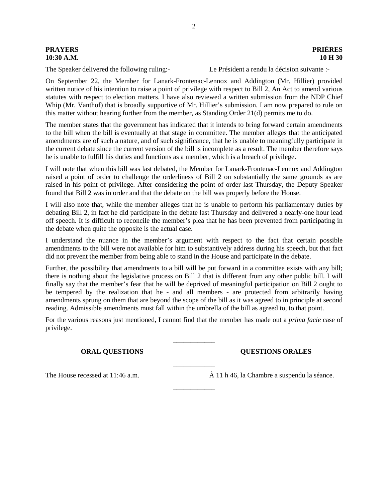# **PRAYERS PRIÈRES**

# **10:30 A.M. 10 H 30**

The Speaker delivered the following ruling:- Le Président a rendu la décision suivante :-

On September 22, the Member for Lanark-Frontenac-Lennox and Addington (Mr. Hillier) provided written notice of his intention to raise a point of privilege with respect to Bill 2, An Act to amend various statutes with respect to election matters. I have also reviewed a written submission from the NDP Chief Whip (Mr. Vanthof) that is broadly supportive of Mr. Hillier's submission. I am now prepared to rule on this matter without hearing further from the member, as Standing Order 21(d) permits me to do.

The member states that the government has indicated that it intends to bring forward certain amendments to the bill when the bill is eventually at that stage in committee. The member alleges that the anticipated amendments are of such a nature, and of such significance, that he is unable to meaningfully participate in the current debate since the current version of the bill is incomplete as a result. The member therefore says he is unable to fulfill his duties and functions as a member, which is a breach of privilege.

I will note that when this bill was last debated, the Member for Lanark-Frontenac-Lennox and Addington raised a point of order to challenge the orderliness of Bill 2 on substantially the same grounds as are raised in his point of privilege. After considering the point of order last Thursday, the Deputy Speaker found that Bill 2 was in order and that the debate on the bill was properly before the House.

I will also note that, while the member alleges that he is unable to perform his parliamentary duties by debating Bill 2, in fact he did participate in the debate last Thursday and delivered a nearly-one hour lead off speech. It is difficult to reconcile the member's plea that he has been prevented from participating in the debate when quite the opposite is the actual case.

I understand the nuance in the member's argument with respect to the fact that certain possible amendments to the bill were not available for him to substantively address during his speech, but that fact did not prevent the member from being able to stand in the House and participate in the debate.

Further, the possibility that amendments to a bill will be put forward in a committee exists with any bill; there is nothing about the legislative process on Bill 2 that is different from any other public bill. I will finally say that the member's fear that he will be deprived of meaningful participation on Bill 2 ought to be tempered by the realization that he - and all members - are protected from arbitrarily having amendments sprung on them that are beyond the scope of the bill as it was agreed to in principle at second reading. Admissible amendments must fall within the umbrella of the bill as agreed to, to that point.

For the various reasons just mentioned, I cannot find that the member has made out a *prima facie* case of privilege.

\_\_\_\_\_\_\_\_\_\_\_\_

 $\overline{\phantom{a}}$  , where  $\overline{\phantom{a}}$ 

\_\_\_\_\_\_\_\_\_\_\_\_

**ORAL QUESTIONS QUESTIONS ORALES**

The House recessed at 11:46 a.m.  $\hat{A}$  11 h 46, la Chambre a suspendu la séance.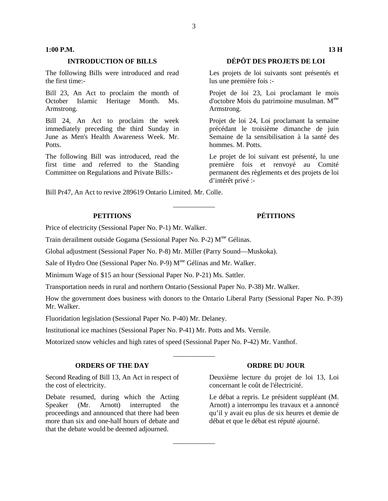### **1:00 P.M. 13 H**

The following Bills were introduced and read the first time:-

Bill 23, An Act to proclaim the month of October Islamic Heritage Month. Ms. Armstrong.

Bill 24, An Act to proclaim the week immediately preceding the third Sunday in June as Men's Health Awareness Week. Mr. Potts.

The following Bill was introduced, read the first time and referred to the Standing Committee on Regulations and Private Bills:-

### **INTRODUCTION OF BILLS DÉPÔT DES PROJETS DE LOI**

Les projets de loi suivants sont présentés et lus une première fois :-

Projet de loi 23, Loi proclamant le mois d'octobre Mois du patrimoine musulman. M<sup>me</sup> Armstrong.

Projet de loi 24, Loi proclamant la semaine précédant le troisième dimanche de juin Semaine de la sensibilisation à la santé des hommes. M. Potts.

Le projet de loi suivant est présenté, lu une première fois et renvoyé au Comité permanent des règlements et des projets de loi d'intérêt privé :-

Bill Pr47, An Act to revive 289619 Ontario Limited. Mr. Colle.

Price of electricity (Sessional Paper No. P-1) Mr. Walker.

Train derailment outside Gogama (Sessional Paper No. P-2) M<sup>me</sup> Gélinas.

Global adjustment (Sessional Paper No. P-8) Mr. Miller (Parry Sound—Muskoka).

Sale of Hydro One (Sessional Paper No. P-9) M<sup>me</sup> Gélinas and Mr. Walker.

Minimum Wage of \$15 an hour (Sessional Paper No. P-21) Ms. Sattler.

Transportation needs in rural and northern Ontario (Sessional Paper No. P-38) Mr. Walker.

How the government does business with donors to the Ontario Liberal Party (Sessional Paper No. P-39) Mr. Walker.

\_\_\_\_\_\_\_\_\_\_\_\_

 $\overline{\phantom{a}}$  , where  $\overline{\phantom{a}}$ 

 $\overline{\phantom{a}}$  , where  $\overline{\phantom{a}}$ 

Fluoridation legislation (Sessional Paper No. P-40) Mr. Delaney.

Institutional ice machines (Sessional Paper No. P-41) Mr. Potts and Ms. Vernile.

Motorized snow vehicles and high rates of speed (Sessional Paper No. P-42) Mr. Vanthof.

### **ORDERS OF THE DAY ORDRE DU JOUR**

Second Reading of Bill 13, An Act in respect of the cost of electricity.

Debate resumed, during which the Acting Speaker (Mr. Arnott) interrupted the proceedings and announced that there had been more than six and one-half hours of debate and that the debate would be deemed adjourned.

Deuxième lecture du projet de loi 13, Loi concernant le coût de l'électricité.

Le débat a repris. Le président suppléant (M. Arnott) a interrompu les travaux et a annoncé qu'il y avait eu plus de six heures et demie de débat et que le débat est réputé ajourné.

### **PETITIONS PÉTITIONS**